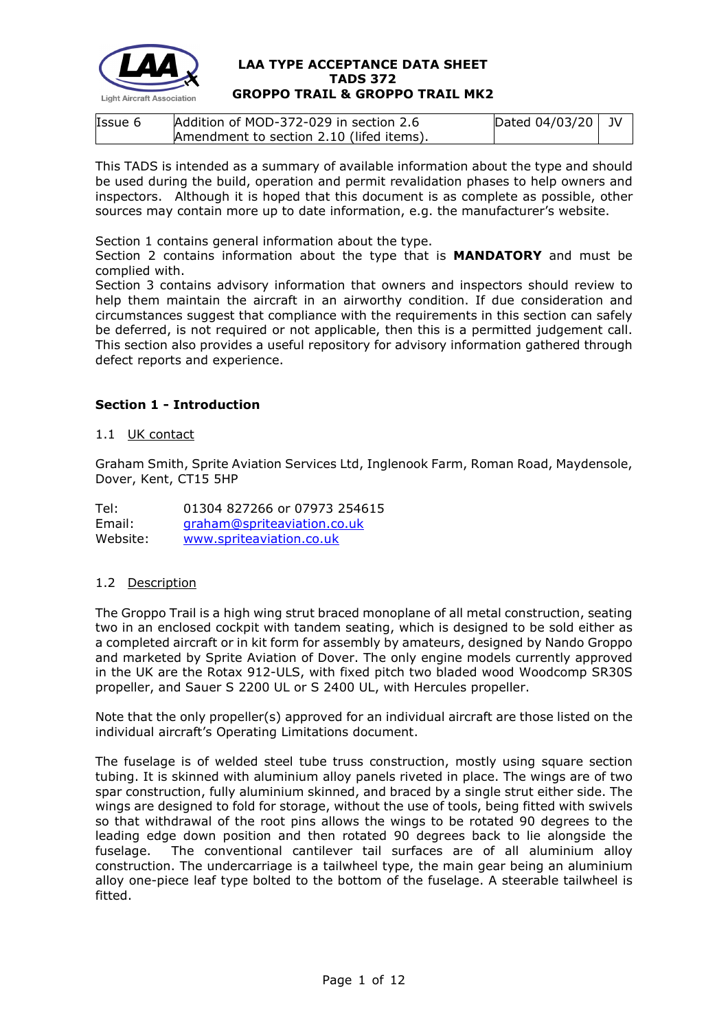

| Issue 6 | Addition of MOD-372-029 in section 2.6   | Dated $04/03/20$ JV |  |
|---------|------------------------------------------|---------------------|--|
|         | Amendment to section 2.10 (lifed items). |                     |  |

This TADS is intended as a summary of available information about the type and should be used during the build, operation and permit revalidation phases to help owners and inspectors. Although it is hoped that this document is as complete as possible, other sources may contain more up to date information, e.g. the manufacturer's website.

Section 1 contains general information about the type.

Section 2 contains information about the type that is **MANDATORY** and must be complied with.

Section 3 contains advisory information that owners and inspectors should review to help them maintain the aircraft in an airworthy condition. If due consideration and circumstances suggest that compliance with the requirements in this section can safely be deferred, is not required or not applicable, then this is a permitted judgement call. This section also provides a useful repository for advisory information gathered through defect reports and experience.

# **Section 1 - Introduction**

### 1.1 UK contact

Graham Smith, Sprite Aviation Services Ltd, Inglenook Farm, Roman Road, Maydensole, Dover, Kent, CT15 5HP

| Tel:     | 01304 827266 or 07973 254615 |
|----------|------------------------------|
| Email:   | graham@spriteaviation.co.uk  |
| Website: | www.spriteaviation.co.uk     |

### 1.2 Description

The Groppo Trail is a high wing strut braced monoplane of all metal construction, seating two in an enclosed cockpit with tandem seating, which is designed to be sold either as a completed aircraft or in kit form for assembly by amateurs, designed by Nando Groppo and marketed by Sprite Aviation of Dover. The only engine models currently approved in the UK are the Rotax 912-ULS, with fixed pitch two bladed wood Woodcomp SR30S propeller, and Sauer S 2200 UL or S 2400 UL, with Hercules propeller.

Note that the only propeller(s) approved for an individual aircraft are those listed on the individual aircraft's Operating Limitations document.

The fuselage is of welded steel tube truss construction, mostly using square section tubing. It is skinned with aluminium alloy panels riveted in place. The wings are of two spar construction, fully aluminium skinned, and braced by a single strut either side. The wings are designed to fold for storage, without the use of tools, being fitted with swivels so that withdrawal of the root pins allows the wings to be rotated 90 degrees to the leading edge down position and then rotated 90 degrees back to lie alongside the fuselage. The conventional cantilever tail surfaces are of all aluminium alloy construction. The undercarriage is a tailwheel type, the main gear being an aluminium alloy one-piece leaf type bolted to the bottom of the fuselage. A steerable tailwheel is fitted.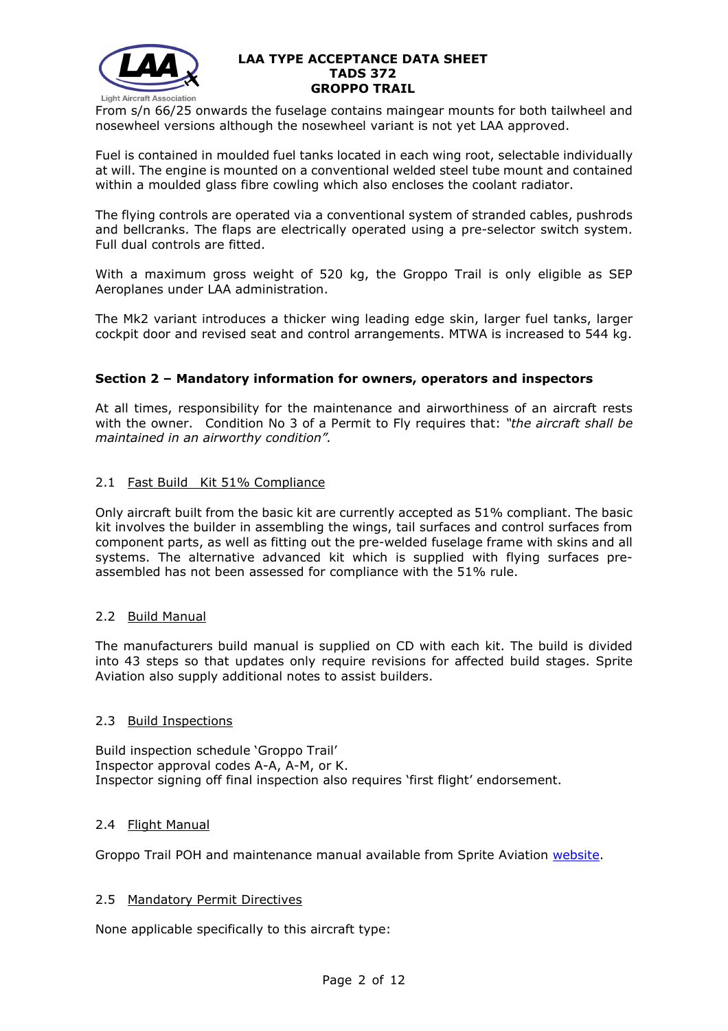

From s/n 66/25 onwards the fuselage contains maingear mounts for both tailwheel and nosewheel versions although the nosewheel variant is not yet LAA approved.

Fuel is contained in moulded fuel tanks located in each wing root, selectable individually at will. The engine is mounted on a conventional welded steel tube mount and contained within a moulded glass fibre cowling which also encloses the coolant radiator.

The flying controls are operated via a conventional system of stranded cables, pushrods and bellcranks. The flaps are electrically operated using a pre-selector switch system. Full dual controls are fitted.

With a maximum gross weight of 520 kg, the Groppo Trail is only eligible as SEP Aeroplanes under LAA administration.

The Mk2 variant introduces a thicker wing leading edge skin, larger fuel tanks, larger cockpit door and revised seat and control arrangements. MTWA is increased to 544 kg.

## **Section 2 – Mandatory information for owners, operators and inspectors**

At all times, responsibility for the maintenance and airworthiness of an aircraft rests with the owner. Condition No 3 of a Permit to Fly requires that: *"the aircraft shall be maintained in an airworthy condition".* 

## 2.1 Fast Build Kit 51% Compliance

Only aircraft built from the basic kit are currently accepted as 51% compliant. The basic kit involves the builder in assembling the wings, tail surfaces and control surfaces from component parts, as well as fitting out the pre-welded fuselage frame with skins and all systems. The alternative advanced kit which is supplied with flying surfaces preassembled has not been assessed for compliance with the 51% rule.

### 2.2 Build Manual

The manufacturers build manual is supplied on CD with each kit. The build is divided into 43 steps so that updates only require revisions for affected build stages. Sprite Aviation also supply additional notes to assist builders.

### 2.3 Build Inspections

Build inspection schedule 'Groppo Trail' Inspector approval codes A-A, A-M, or K. Inspector signing off final inspection also requires 'first flight' endorsement.

### 2.4 Flight Manual

Groppo Trail POH and maintenance manual available from Sprite Aviation [website.](http://www.spriteaviation.co.uk/)

### 2.5 Mandatory Permit Directives

None applicable specifically to this aircraft type: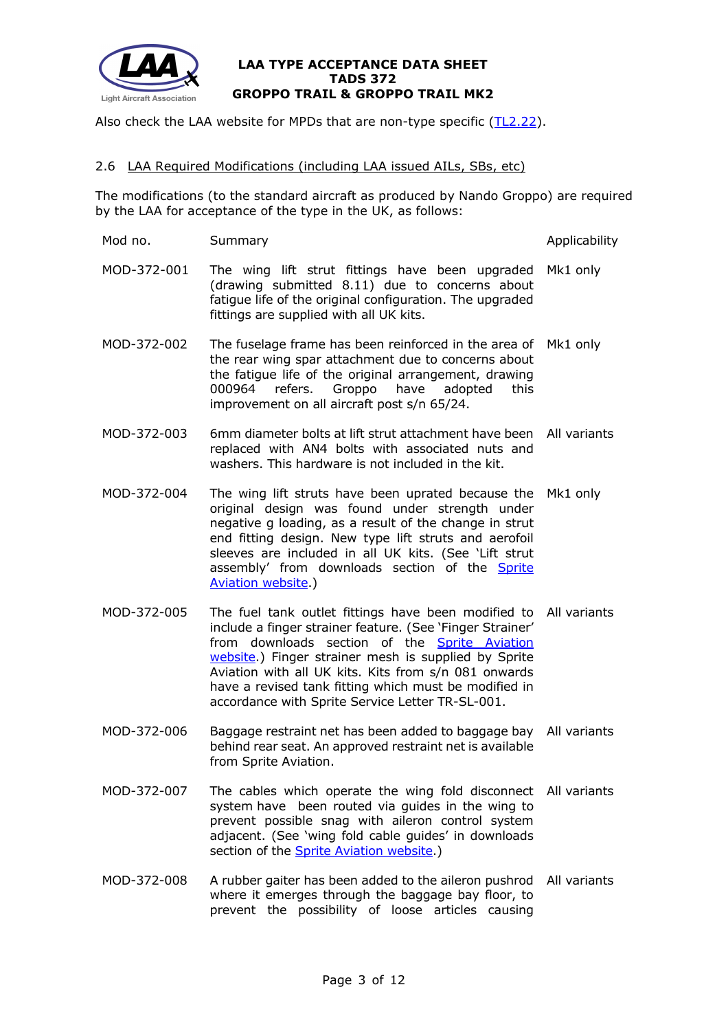

Also check the LAA website for MPDs that are non-type specific [\(TL2.22\)](http://www.lightaircraftassociation.co.uk/engineering/TechnicalLeaflets/Operating%20An%20Aircraft/TL%202.22%20non-type%20specific%20MPDs.pdf).

#### 2.6 LAA Required Modifications (including LAA issued AILs, SBs, etc)

The modifications (to the standard aircraft as produced by Nando Groppo) are required by the LAA for acceptance of the type in the UK, as follows:

- Mod no. Summary **Applicability** Summary **Applicability** MOD-372-001 The wing lift strut fittings have been upgraded Mk1 only (drawing submitted 8.11) due to concerns about fatigue life of the original configuration. The upgraded fittings are supplied with all UK kits. MOD-372-002 The fuselage frame has been reinforced in the area of Mk1 only the rear wing spar attachment due to concerns about the fatigue life of the original arrangement, drawing 000964 refers. Groppo have adopted this improvement on all aircraft post s/n 65/24. MOD-372-003 6mm diameter bolts at lift strut attachment have been All variants replaced with AN4 bolts with associated nuts and washers. This hardware is not included in the kit. MOD-372-004 The wing lift struts have been uprated because the Mk1 only original design was found under strength under negative g loading, as a result of the change in strut end fitting design. New type lift struts and aerofoil sleeves are included in all UK kits. (See 'Lift strut assembly' from downloads section of the **Sprite** [Aviation website.](http://www.spriteaviation.co.uk/)) MOD-372-005 The fuel tank outlet fittings have been modified to All variants include a finger strainer feature. (See 'Finger Strainer' from downloads section of the [Sprite Aviation](http://www.spriteaviation.co.uk/)  [website.](http://www.spriteaviation.co.uk/)) Finger strainer mesh is supplied by Sprite Aviation with all UK kits. Kits from s/n 081 onwards have a revised tank fitting which must be modified in accordance with Sprite Service Letter TR-SL-001. MOD-372-006 Baggage restraint net has been added to baggage bay All variants behind rear seat. An approved restraint net is available from Sprite Aviation. MOD-372-007 The cables which operate the wing fold disconnect All variants system have been routed via guides in the wing to prevent possible snag with aileron control system adjacent. (See 'wing fold cable guides' in downloads section of the **Sprite Aviation website**.)
- MOD-372-008 A rubber gaiter has been added to the aileron pushrod All variantswhere it emerges through the baggage bay floor, to prevent the possibility of loose articles causing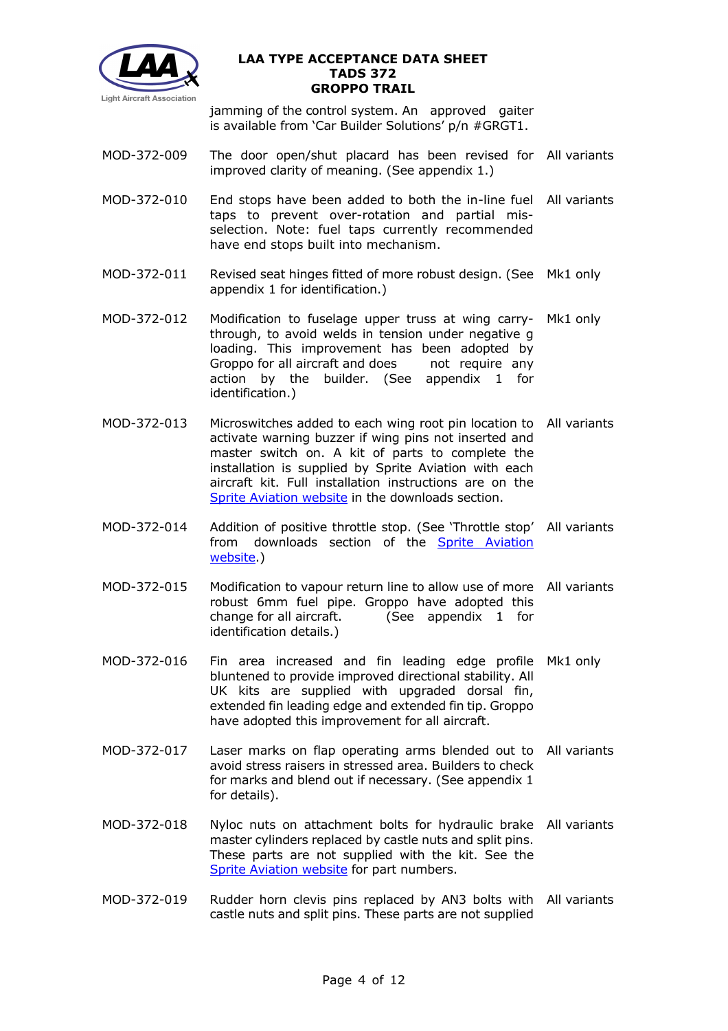

jamming of the control system. An approved gaiter is available from 'Car Builder Solutions' p/n #GRGT1.

- MOD-372-009 The door open/shut placard has been revised for All variants improved clarity of meaning. (See appendix 1.)
- MOD-372-010 End stops have been added to both the in-line fuel All variants taps to prevent over-rotation and partial misselection. Note: fuel taps currently recommended have end stops built into mechanism.
- MOD-372-011 Revised seat hinges fitted of more robust design. (See Mk1 only appendix 1 for identification.)
- MOD-372-012 Modification to fuselage upper truss at wing carry-Mk1 only through, to avoid welds in tension under negative g loading. This improvement has been adopted by Groppo for all aircraft and does not require any action by the builder. (See appendix 1 for identification.)
- MOD-372-013 Microswitches added to each wing root pin location to All variants activate warning buzzer if wing pins not inserted and master switch on. A kit of parts to complete the installation is supplied by Sprite Aviation with each aircraft kit. Full installation instructions are on the [Sprite Aviation website](http://www.spriteaviation.co.uk/) in the downloads section.
- MOD-372-014 Addition of positive throttle stop. (See 'Throttle stop' All variants from downloads section of the **Sprite Aviation** [website.](http://www.spriteaviation.co.uk/))
- MOD-372-015 Modification to vapour return line to allow use of more All variants robust 6mm fuel pipe. Groppo have adopted this change for all aircraft. (See appendix 1 for identification details.)
- MOD-372-016 Fin area increased and fin leading edge profile Mk1 only bluntened to provide improved directional stability. All UK kits are supplied with upgraded dorsal fin, extended fin leading edge and extended fin tip. Groppo have adopted this improvement for all aircraft.
- MOD-372-017 Laser marks on flap operating arms blended out to All variants avoid stress raisers in stressed area. Builders to check for marks and blend out if necessary. (See appendix 1 for details).
- MOD-372-018 Nyloc nuts on attachment bolts for hydraulic brake All variants master cylinders replaced by castle nuts and split pins. These parts are not supplied with the kit. See the [Sprite Aviation website](http://www.spriteaviation.co.uk/) for part numbers.
- MOD-372-019 Rudder horn clevis pins replaced by AN3 bolts with All variantscastle nuts and split pins. These parts are not supplied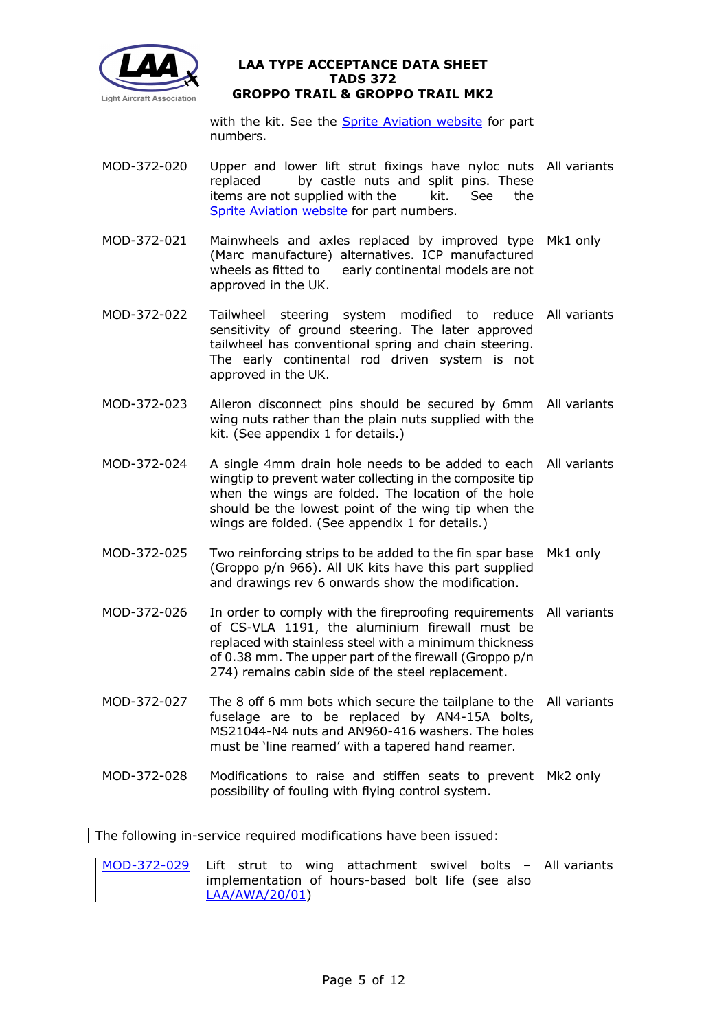

with the kit. See the **Sprite Aviation website** for part numbers.

- MOD-372-020 Upper and lower lift strut fixings have nyloc nuts All variants replaced by castle nuts and split pins. These items are not supplied with the kit. See the [Sprite Aviation website](http://www.spriteaviation.co.uk/) for part numbers.
- MOD-372-021 Mainwheels and axles replaced by improved type Mk1 only (Marc manufacture) alternatives. ICP manufactured wheels as fitted to early continental models are not approved in the UK.
- MOD-372-022 Tailwheel steering system modified to reduce All variants sensitivity of ground steering. The later approved tailwheel has conventional spring and chain steering. The early continental rod driven system is not approved in the UK.
- MOD-372-023 Aileron disconnect pins should be secured by 6mm All variants wing nuts rather than the plain nuts supplied with the kit. (See appendix 1 for details.)
- MOD-372-024 A single 4mm drain hole needs to be added to each All variants wingtip to prevent water collecting in the composite tip when the wings are folded. The location of the hole should be the lowest point of the wing tip when the wings are folded. (See appendix 1 for details.)
- MOD-372-025 Two reinforcing strips to be added to the fin spar base Mk1 only (Groppo p/n 966). All UK kits have this part supplied and drawings rev 6 onwards show the modification.
- MOD-372-026 In order to comply with the fireproofing requirements All variants of CS-VLA 1191, the aluminium firewall must be replaced with stainless steel with a minimum thickness of 0.38 mm. The upper part of the firewall (Groppo p/n 274) remains cabin side of the steel replacement.
- MOD-372-027 The 8 off 6 mm bots which secure the tailplane to the All variants fuselage are to be replaced by AN4-15A bolts, MS21044-N4 nuts and AN960-416 washers. The holes must be 'line reamed' with a tapered hand reamer.
- MOD-372-028 Modifications to raise and stiffen seats to prevent Mk2 only possibility of fouling with flying control system.

The following in-service required modifications have been issued:

[MOD-372-029](http://www.lightaircraftassociation.co.uk/engineering/Airworthiness%20Alerts/MOD%20372%20028.pdf) Lift strut to wing attachment swivel bolts – All variantsimplementation of hours-based bolt life (see also [LAA/AWA/20/01\)](http://www.lightaircraftassociation.co.uk/engineering/Groppo%20Trail%20Wing%20Bolt%20Life.pdf)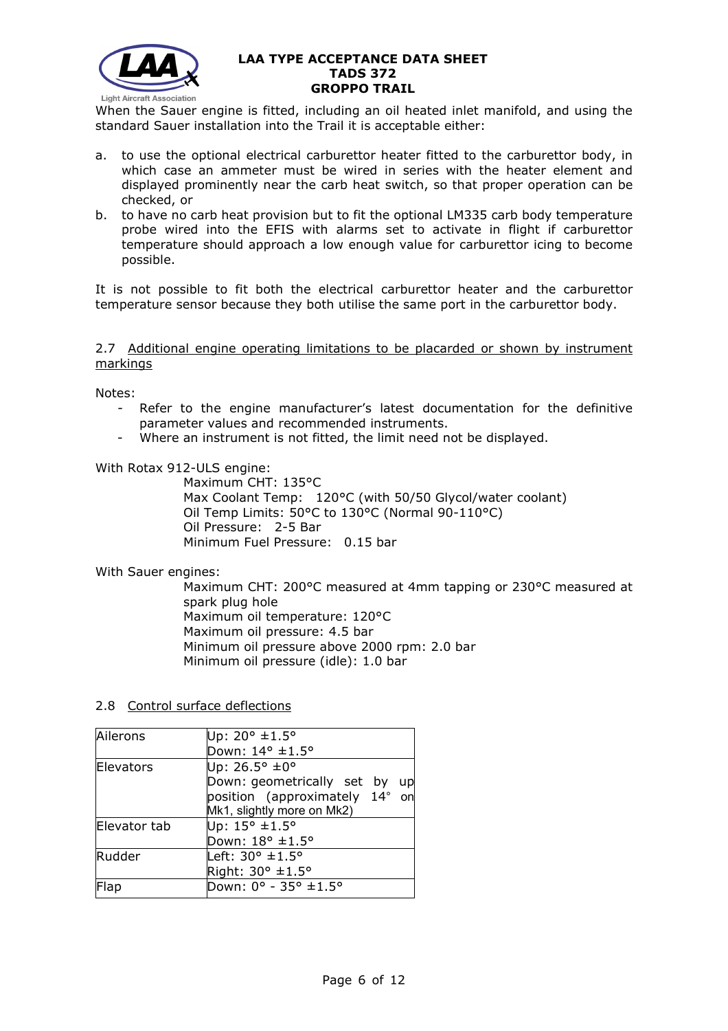

When the Sauer engine is fitted, including an oil heated inlet manifold, and using the standard Sauer installation into the Trail it is acceptable either:

- a. to use the optional electrical carburettor heater fitted to the carburettor body, in which case an ammeter must be wired in series with the heater element and displayed prominently near the carb heat switch, so that proper operation can be checked, or
- b. to have no carb heat provision but to fit the optional LM335 carb body temperature probe wired into the EFIS with alarms set to activate in flight if carburettor temperature should approach a low enough value for carburettor icing to become possible.

It is not possible to fit both the electrical carburettor heater and the carburettor temperature sensor because they both utilise the same port in the carburettor body.

#### 2.7 Additional engine operating limitations to be placarded or shown by instrument markings

Notes:

- Refer to the engine manufacturer's latest documentation for the definitive parameter values and recommended instruments.
- Where an instrument is not fitted, the limit need not be displayed.

With Rotax 912-ULS engine:

Maximum CHT: 135°C Max Coolant Temp: 120°C (with 50/50 Glycol/water coolant) Oil Temp Limits: 50°C to 130°C (Normal 90-110°C) Oil Pressure: 2-5 Bar Minimum Fuel Pressure: 0.15 bar

With Sauer engines:

Maximum CHT: 200°C measured at 4mm tapping or 230°C measured at spark plug hole Maximum oil temperature: 120°C Maximum oil pressure: 4.5 bar Minimum oil pressure above 2000 rpm: 2.0 bar Minimum oil pressure (idle): 1.0 bar

2.8 Control surface deflections

| Ailerons     | Up: 20° ±1.5°                    |  |  |
|--------------|----------------------------------|--|--|
|              | Down: 14° ±1.5°                  |  |  |
| Elevators    | Up: 26.5° ±0°                    |  |  |
|              | Down: geometrically set by<br>up |  |  |
|              | position (approximately 14° on   |  |  |
|              | Mk1, slightly more on Mk2)       |  |  |
| Elevator tab | Up: 15° ±1.5°                    |  |  |
|              | Down: 18° ±1.5°                  |  |  |
| Rudder       | Left: $30^\circ \pm 1.5^\circ$   |  |  |
|              | Right: 30° ±1.5°                 |  |  |
| Flap         | Down: 0° - 35° ±1.5°             |  |  |
|              |                                  |  |  |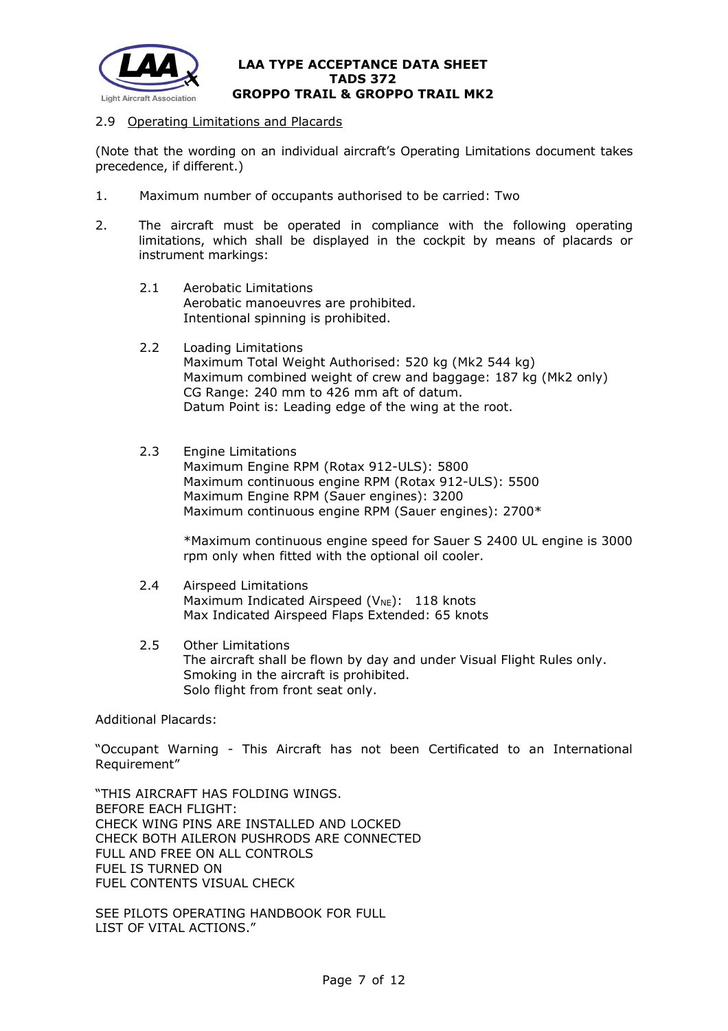

### 2.9 Operating Limitations and Placards

(Note that the wording on an individual aircraft's Operating Limitations document takes precedence, if different.)

- 1. Maximum number of occupants authorised to be carried: Two
- 2. The aircraft must be operated in compliance with the following operating limitations, which shall be displayed in the cockpit by means of placards or instrument markings:
	- 2.1 Aerobatic Limitations Aerobatic manoeuvres are prohibited. Intentional spinning is prohibited.
	- 2.2 Loading Limitations

Maximum Total Weight Authorised: 520 kg (Mk2 544 kg) Maximum combined weight of crew and baggage: 187 kg (Mk2 only) CG Range: 240 mm to 426 mm aft of datum. Datum Point is: Leading edge of the wing at the root.

### 2.3 Engine Limitations

Maximum Engine RPM (Rotax 912-ULS): 5800 Maximum continuous engine RPM (Rotax 912-ULS): 5500 Maximum Engine RPM (Sauer engines): 3200 Maximum continuous engine RPM (Sauer engines): 2700\*

\*Maximum continuous engine speed for Sauer S 2400 UL engine is 3000 rpm only when fitted with the optional oil cooler.

#### 2.4 Airspeed Limitations Maximum Indicated Airspeed ( $V_{NE}$ ): 118 knots Max Indicated Airspeed Flaps Extended: 65 knots

2.5 Other Limitations The aircraft shall be flown by day and under Visual Flight Rules only. Smoking in the aircraft is prohibited. Solo flight from front seat only.

Additional Placards:

"Occupant Warning - This Aircraft has not been Certificated to an International Requirement"

"THIS AIRCRAFT HAS FOLDING WINGS. BEFORE EACH FLIGHT: CHECK WING PINS ARE INSTALLED AND LOCKED CHECK BOTH AILERON PUSHRODS ARE CONNECTED FULL AND FREE ON ALL CONTROLS FUEL IS TURNED ON FUEL CONTENTS VISUAL CHECK

SEE PILOTS OPERATING HANDBOOK FOR FULL LIST OF VITAL ACTIONS."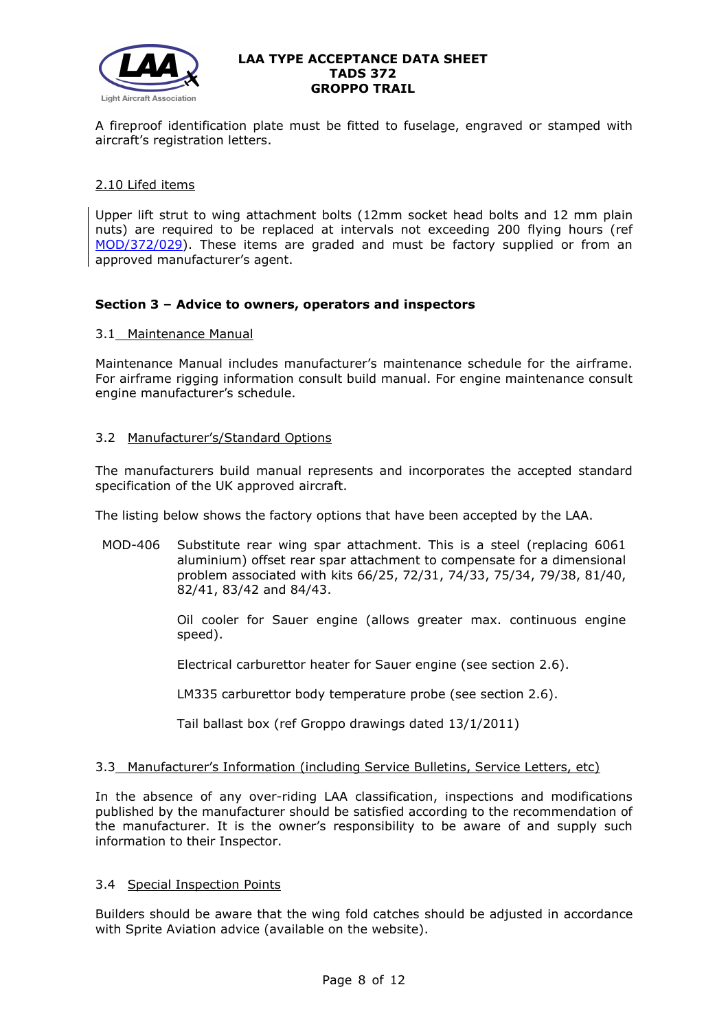

A fireproof identification plate must be fitted to fuselage, engraved or stamped with aircraft's registration letters.

### 2.10 Lifed items

Upper lift strut to wing attachment bolts (12mm socket head bolts and 12 mm plain nuts) are required to be replaced at intervals not exceeding 200 flying hours (ref [MOD/372/029\)](http://www.lightaircraftassociation.co.uk/engineering/Airworthiness%20Alerts/MOD%20372%20028.pdf). These items are graded and must be factory supplied or from an approved manufacturer's agent.

### **Section 3 – Advice to owners, operators and inspectors**

### 3.1 Maintenance Manual

Maintenance Manual includes manufacturer's maintenance schedule for the airframe. For airframe rigging information consult build manual. For engine maintenance consult engine manufacturer's schedule.

## 3.2 Manufacturer's/Standard Options

The manufacturers build manual represents and incorporates the accepted standard specification of the UK approved aircraft.

The listing below shows the factory options that have been accepted by the LAA.

MOD-406 Substitute rear wing spar attachment. This is a steel (replacing 6061 aluminium) offset rear spar attachment to compensate for a dimensional problem associated with kits 66/25, 72/31, 74/33, 75/34, 79/38, 81/40, 82/41, 83/42 and 84/43.

> Oil cooler for Sauer engine (allows greater max. continuous engine speed).

Electrical carburettor heater for Sauer engine (see section 2.6).

LM335 carburettor body temperature probe (see section 2.6).

Tail ballast box (ref Groppo drawings dated 13/1/2011)

### 3.3 Manufacturer's Information (including Service Bulletins, Service Letters, etc)

In the absence of any over-riding LAA classification, inspections and modifications published by the manufacturer should be satisfied according to the recommendation of the manufacturer. It is the owner's responsibility to be aware of and supply such information to their Inspector.

# 3.4 Special Inspection Points

Builders should be aware that the wing fold catches should be adjusted in accordance with Sprite Aviation advice (available on the website).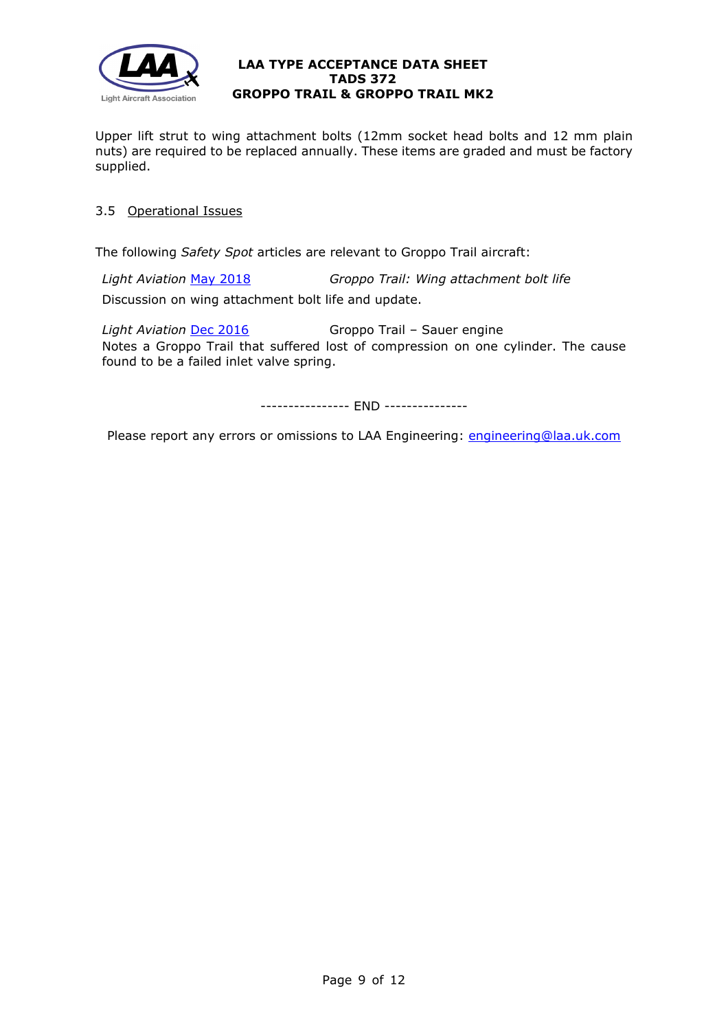

Upper lift strut to wing attachment bolts (12mm socket head bolts and 12 mm plain nuts) are required to be replaced annually. These items are graded and must be factory supplied.

# 3.5 Operational Issues

The following *Safety Spot* articles are relevant to Groppo Trail aircraft:

*Light Aviation* [May 2018](http://www.lightaircraftassociation.co.uk/2018/Magazine/May/Safety%20Spot.pdf) *Groppo Trail: Wing attachment bolt life*

Discussion on wing attachment bolt life and update.

*Light Aviation* [Dec 2016](http://www.lightaircraftassociation.co.uk/2016/Magazine/Dec/Safety%20Spot.pdf) Groppo Trail – Sauer engine Notes a Groppo Trail that suffered lost of compression on one cylinder. The cause found to be a failed inlet valve spring.

---------------- END ---------------

Please report any errors or omissions to LAA Engineering: [engineering@laa.uk.com](mailto:engineering@laa.uk.com)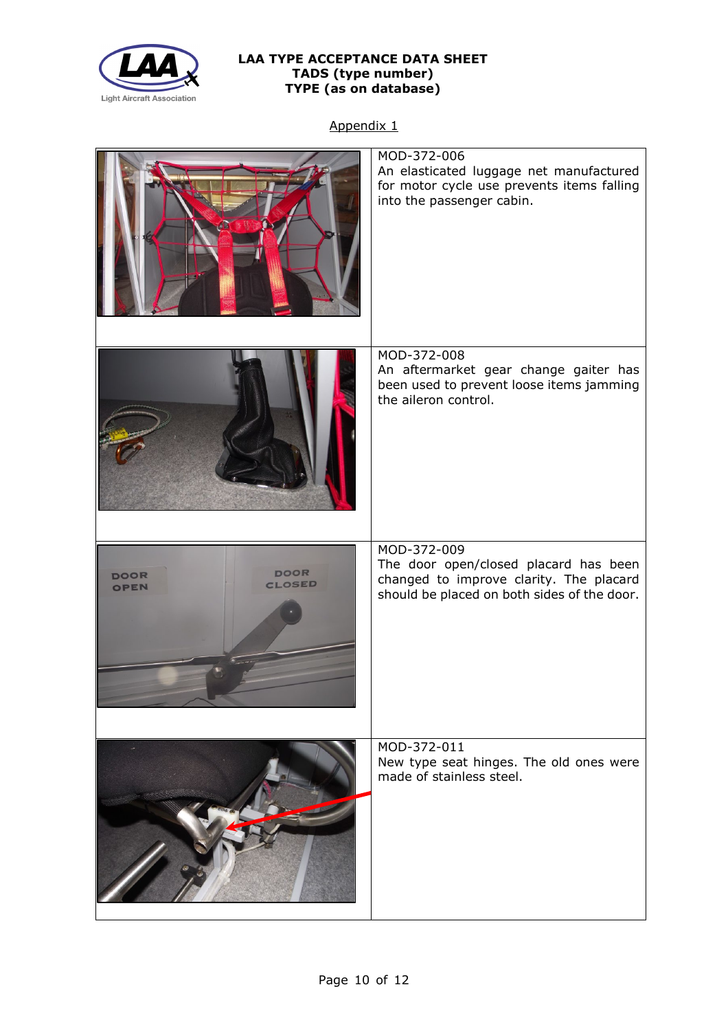

# **LAA TYPE ACCEPTANCE DATA SHEET TADS (type number) TYPE (as on database)**

Appendix 1

|                                                     | MOD-372-006<br>An elasticated luggage net manufactured<br>for motor cycle use prevents items falling<br>into the passenger cabin.              |
|-----------------------------------------------------|------------------------------------------------------------------------------------------------------------------------------------------------|
|                                                     | MOD-372-008<br>An aftermarket gear change gaiter has<br>been used to prevent loose items jamming<br>the aileron control.                       |
| <b>DOOR</b><br><b>DOOR</b><br><b>CLOSED</b><br>OPEN | MOD-372-009<br>The door open/closed placard has been<br>changed to improve clarity. The placard<br>should be placed on both sides of the door. |
|                                                     | MOD-372-011<br>New type seat hinges. The old ones were<br>made of stainless steel.                                                             |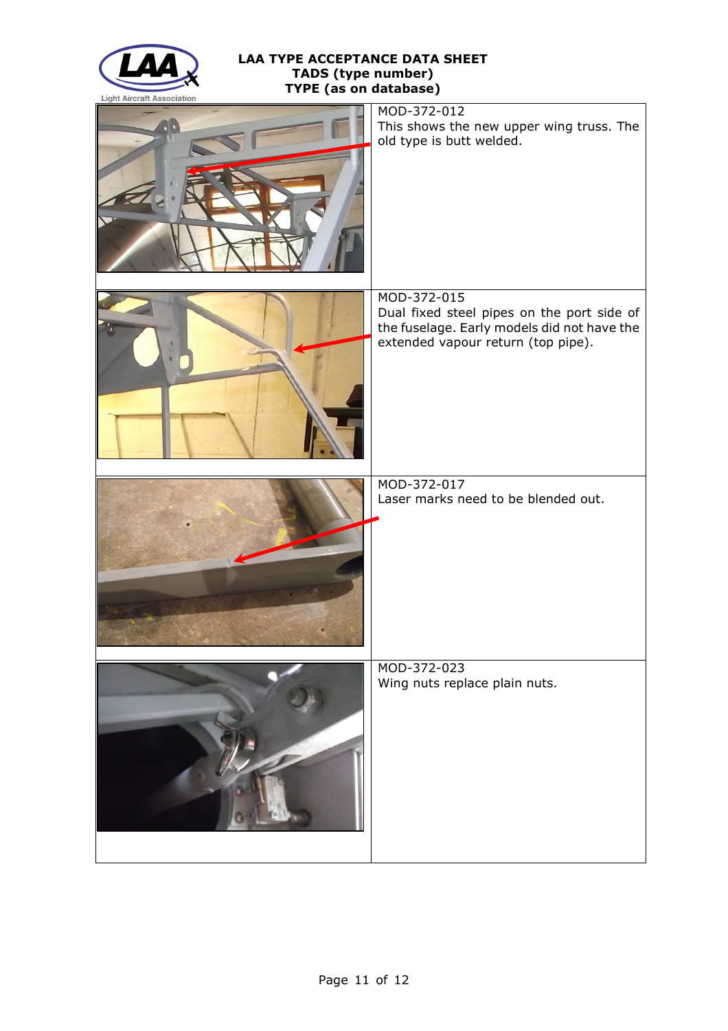

# **LAA TYPE ACCEPTANCE DATA SHEET TADS (type number) TYPE (as on database)**

| MOD-372-012<br>This shows the new upper wing truss. The<br>old type is butt welded.                                                            |
|------------------------------------------------------------------------------------------------------------------------------------------------|
| MOD-372-015<br>Dual fixed steel pipes on the port side of<br>the fuselage. Early models did not have the<br>extended vapour return (top pipe). |
| MOD-372-017<br>Laser marks need to be blended out.                                                                                             |
| MOD-372-023<br>Wing nuts replace plain nuts.                                                                                                   |